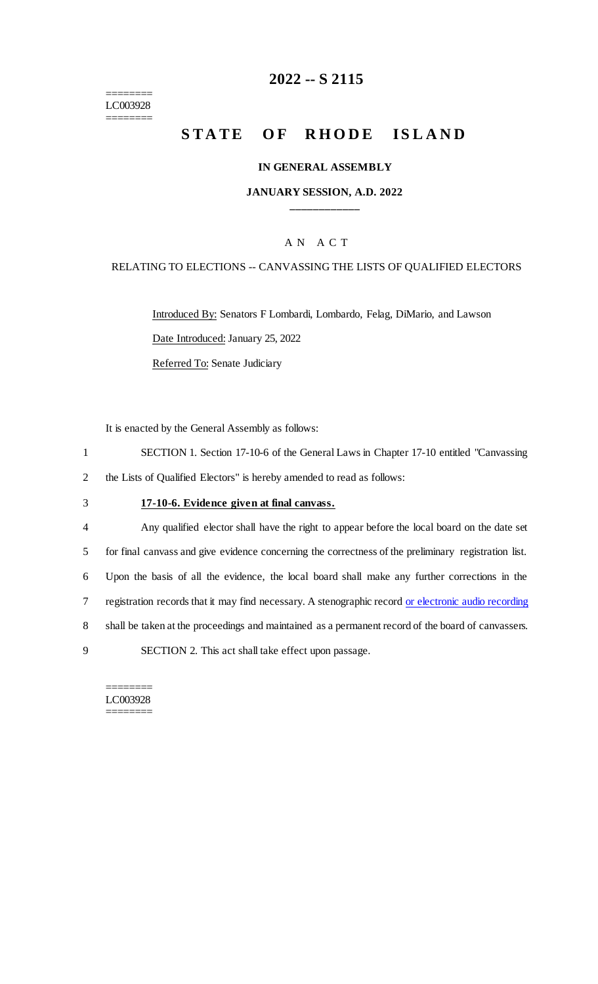======== LC003928 ========

## **2022 -- S 2115**

# **STATE OF RHODE ISLAND**

#### **IN GENERAL ASSEMBLY**

#### **JANUARY SESSION, A.D. 2022 \_\_\_\_\_\_\_\_\_\_\_\_**

### A N A C T

#### RELATING TO ELECTIONS -- CANVASSING THE LISTS OF QUALIFIED ELECTORS

Introduced By: Senators F Lombardi, Lombardo, Felag, DiMario, and Lawson Date Introduced: January 25, 2022 Referred To: Senate Judiciary

It is enacted by the General Assembly as follows:

1 SECTION 1. Section 17-10-6 of the General Laws in Chapter 17-10 entitled "Canvassing 2 the Lists of Qualified Electors" is hereby amended to read as follows:

#### 3 **17-10-6. Evidence given at final canvass.**

 Any qualified elector shall have the right to appear before the local board on the date set for final canvass and give evidence concerning the correctness of the preliminary registration list. Upon the basis of all the evidence, the local board shall make any further corrections in the registration records that it may find necessary. A stenographic record or electronic audio recording shall be taken at the proceedings and maintained as a permanent record of the board of canvassers. SECTION 2. This act shall take effect upon passage.

======== LC003928 ========